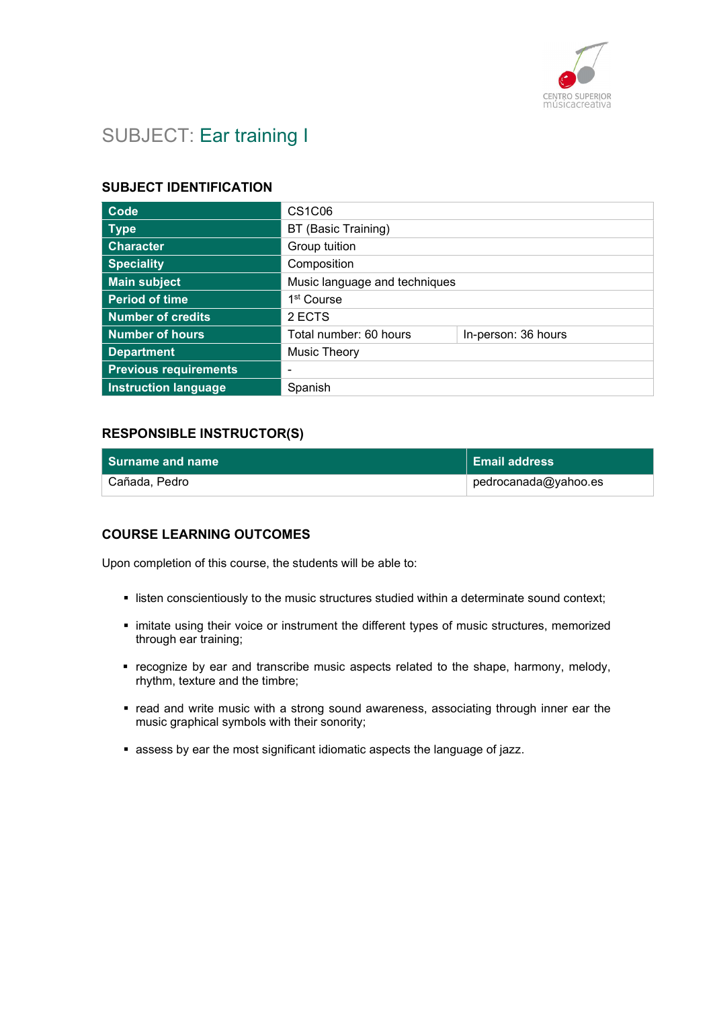

# SUBJECT: Ear training I

### SUBJECT IDENTIFICATION

| Code                         | <b>CS1C06</b>                 |                     |
|------------------------------|-------------------------------|---------------------|
| <b>Type</b>                  | BT (Basic Training)           |                     |
| <b>Character</b>             | Group tuition                 |                     |
| <b>Speciality</b>            | Composition                   |                     |
| <b>Main subject</b>          | Music language and techniques |                     |
| <b>Period of time</b>        | 1 <sup>st</sup> Course        |                     |
| <b>Number of credits</b>     | 2 ECTS                        |                     |
| <b>Number of hours</b>       | Total number: 60 hours        | In-person: 36 hours |
| <b>Department</b>            | Music Theory                  |                     |
| <b>Previous requirements</b> | -                             |                     |
| <b>Instruction language</b>  | Spanish                       |                     |

## RESPONSIBLE INSTRUCTOR(S)

| <b>Surname and name</b> | Email address        |
|-------------------------|----------------------|
| Cañada, Pedro           | pedrocanada@yahoo.es |

## COURSE LEARNING OUTCOMES

Upon completion of this course, the students will be able to:

- listen conscientiously to the music structures studied within a determinate sound context;
- imitate using their voice or instrument the different types of music structures, memorized through ear training;
- recognize by ear and transcribe music aspects related to the shape, harmony, melody, rhythm, texture and the timbre;
- read and write music with a strong sound awareness, associating through inner ear the music graphical symbols with their sonority;
- assess by ear the most significant idiomatic aspects the language of jazz.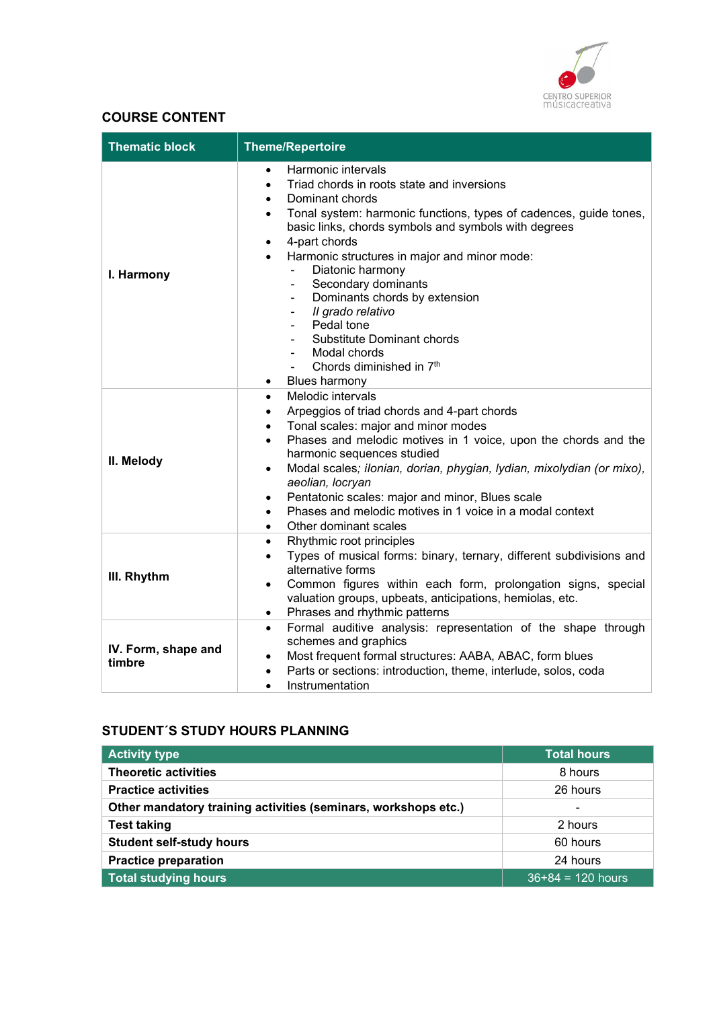

# COURSE CONTENT

| <b>Thematic block</b>         | <b>Theme/Repertoire</b>                                                                                                                                                                                                                                                                                                                                                                                                                                                                                                                                                             |
|-------------------------------|-------------------------------------------------------------------------------------------------------------------------------------------------------------------------------------------------------------------------------------------------------------------------------------------------------------------------------------------------------------------------------------------------------------------------------------------------------------------------------------------------------------------------------------------------------------------------------------|
| I. Harmony                    | Harmonic intervals<br>$\bullet$<br>Triad chords in roots state and inversions<br>Dominant chords<br>Tonal system: harmonic functions, types of cadences, guide tones,<br>basic links, chords symbols and symbols with degrees<br>4-part chords<br>Harmonic structures in major and minor mode:<br>Diatonic harmony<br>$\blacksquare$<br>Secondary dominants<br>$\blacksquare$<br>Dominants chords by extension<br>Il grado relativo<br>Pedal tone<br><b>Substitute Dominant chords</b><br>Modal chords<br>Chords diminished in 7 <sup>th</sup><br><b>Blues harmony</b><br>$\bullet$ |
| II. Melody                    | Melodic intervals<br>$\bullet$<br>Arpeggios of triad chords and 4-part chords<br>Tonal scales: major and minor modes<br>Phases and melodic motives in 1 voice, upon the chords and the<br>$\bullet$<br>harmonic sequences studied<br>Modal scales; ilonian, dorian, phygian, lydian, mixolydian (or mixo),<br>$\bullet$<br>aeolian, locryan<br>Pentatonic scales: major and minor, Blues scale<br>$\bullet$<br>Phases and melodic motives in 1 voice in a modal context<br>$\bullet$<br>Other dominant scales<br>$\bullet$                                                          |
| III. Rhythm                   | Rhythmic root principles<br>$\bullet$<br>Types of musical forms: binary, ternary, different subdivisions and<br>$\bullet$<br>alternative forms<br>Common figures within each form, prolongation signs, special<br>$\bullet$<br>valuation groups, upbeats, anticipations, hemiolas, etc.<br>Phrases and rhythmic patterns<br>$\bullet$                                                                                                                                                                                                                                               |
| IV. Form, shape and<br>timbre | Formal auditive analysis: representation of the shape through<br>$\bullet$<br>schemes and graphics<br>Most frequent formal structures: AABA, ABAC, form blues<br>Parts or sections: introduction, theme, interlude, solos, coda<br>$\bullet$<br>Instrumentation<br>$\bullet$                                                                                                                                                                                                                                                                                                        |

# STUDENT´S STUDY HOURS PLANNING

| <b>Activity type</b>                                           | <b>Total hours</b>  |
|----------------------------------------------------------------|---------------------|
| <b>Theoretic activities</b>                                    | 8 hours             |
| <b>Practice activities</b>                                     | 26 hours            |
| Other mandatory training activities (seminars, workshops etc.) | -                   |
| <b>Test taking</b>                                             | 2 hours             |
| <b>Student self-study hours</b>                                | 60 hours            |
| <b>Practice preparation</b>                                    | 24 hours            |
| <b>Total studying hours</b>                                    | $36+84 = 120$ hours |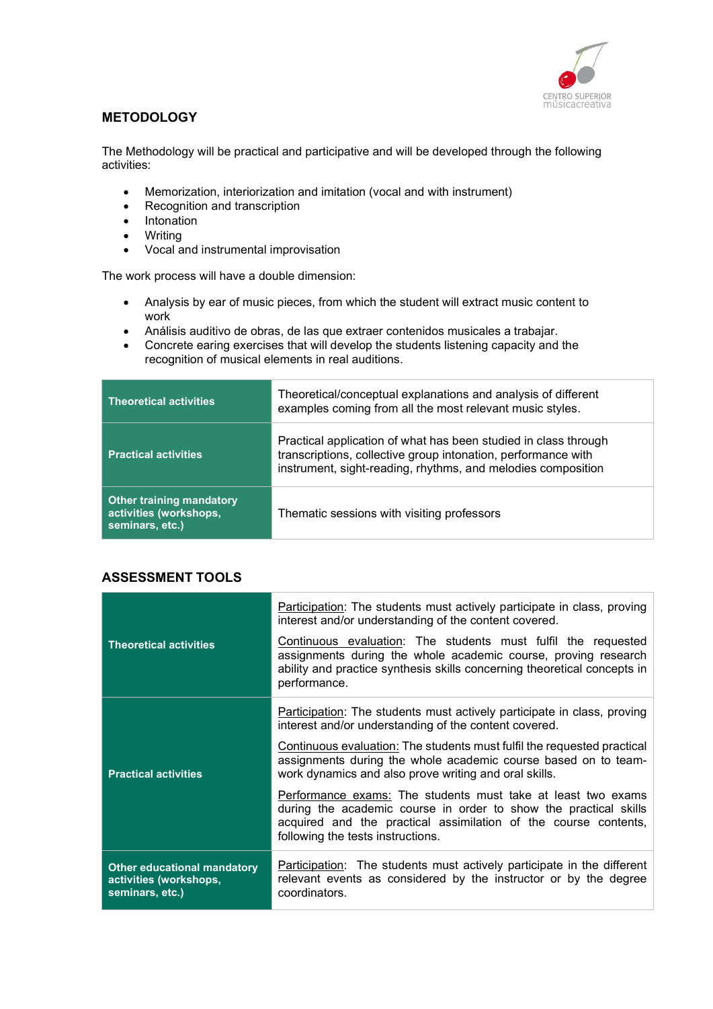

### **METODOLOGY**

The Methodology will be practical and participative and will be developed through the following activities:

- Memorization, interiorization and imitation (vocal and with instrument)
- Recognition and transcription
- Intonation
- Writing
- Vocal and instrumental improvisation

The work process will have a double dimension:

- Analysis by ear of music pieces, from which the student will extract music content to work
- Análisis auditivo de obras, de las que extraer contenidos musicales a trabajar.
- Concrete earing exercises that will develop the students listening capacity and the recognition of musical elements in real auditions.

| <b>Theoretical activities</b>                                                | Theoretical/conceptual explanations and analysis of different<br>examples coming from all the most relevant music styles.                                                                        |
|------------------------------------------------------------------------------|--------------------------------------------------------------------------------------------------------------------------------------------------------------------------------------------------|
| <b>Practical activities</b>                                                  | Practical application of what has been studied in class through<br>transcriptions, collective group intonation, performance with<br>instrument, sight-reading, rhythms, and melodies composition |
| <b>Other training mandatory</b><br>activities (workshops,<br>seminars, etc.) | Thematic sessions with visiting professors                                                                                                                                                       |

#### ASSESSMENT TOOLS

|                                                                                 | Participation: The students must actively participate in class, proving<br>interest and/or understanding of the content covered.                                                                                                         |
|---------------------------------------------------------------------------------|------------------------------------------------------------------------------------------------------------------------------------------------------------------------------------------------------------------------------------------|
| <b>Theoretical activities</b>                                                   | Continuous evaluation: The students must fulfil the requested<br>assignments during the whole academic course, proving research<br>ability and practice synthesis skills concerning theoretical concepts in<br>performance.              |
|                                                                                 | <b>Participation:</b> The students must actively participate in class, proving<br>interest and/or understanding of the content covered.                                                                                                  |
| <b>Practical activities</b>                                                     | Continuous evaluation: The students must fulfil the requested practical<br>assignments during the whole academic course based on to team-<br>work dynamics and also prove writing and oral skills.                                       |
|                                                                                 | Performance exams: The students must take at least two exams<br>during the academic course in order to show the practical skills<br>acquired and the practical assimilation of the course contents,<br>following the tests instructions. |
| <b>Other educational mandatory</b><br>activities (workshops,<br>seminars, etc.) | Participation: The students must actively participate in the different<br>relevant events as considered by the instructor or by the degree<br>coordinators.                                                                              |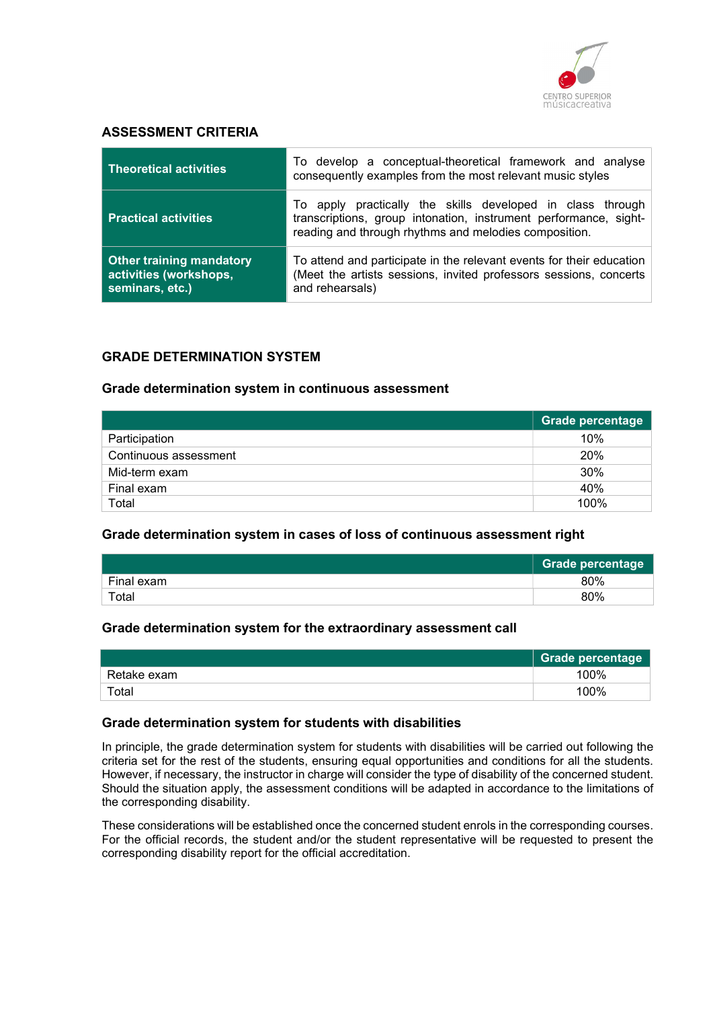

### ASSESSMENT CRITERIA

| <b>Theoretical activities</b>                                                | To develop a conceptual-theoretical framework and analyse<br>consequently examples from the most relevant music styles                                                                  |
|------------------------------------------------------------------------------|-----------------------------------------------------------------------------------------------------------------------------------------------------------------------------------------|
| <b>Practical activities</b>                                                  | To apply practically the skills developed in class through<br>transcriptions, group intonation, instrument performance, sight-<br>reading and through rhythms and melodies composition. |
| <b>Other training mandatory</b><br>activities (workshops,<br>seminars, etc.) | To attend and participate in the relevant events for their education<br>(Meet the artists sessions, invited professors sessions, concerts<br>and rehearsals)                            |

## GRADE DETERMINATION SYSTEM

#### Grade determination system in continuous assessment

|                       | <b>Grade percentage</b> |
|-----------------------|-------------------------|
| Participation         | 10%                     |
| Continuous assessment | <b>20%</b>              |
| Mid-term exam         | 30%                     |
| Final exam            | 40%                     |
| Total                 | 100%                    |

#### Grade determination system in cases of loss of continuous assessment right

|            | <b>Grade percentage</b> |
|------------|-------------------------|
| Final exam | 80%                     |
| Total      | 80%                     |

#### Grade determination system for the extraordinary assessment call

|             | Grade percentage |
|-------------|------------------|
| Retake exam | 100%             |
| Total       | 100%             |

#### Grade determination system for students with disabilities

In principle, the grade determination system for students with disabilities will be carried out following the criteria set for the rest of the students, ensuring equal opportunities and conditions for all the students. However, if necessary, the instructor in charge will consider the type of disability of the concerned student. Should the situation apply, the assessment conditions will be adapted in accordance to the limitations of the corresponding disability.

These considerations will be established once the concerned student enrols in the corresponding courses. For the official records, the student and/or the student representative will be requested to present the corresponding disability report for the official accreditation.